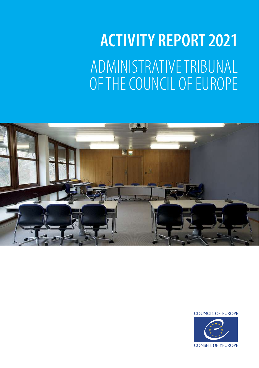## **ACTIVITY REPORT 2021**  ADMINISTRATIVE TRIBUNAL OF THE COUNCIL OF EUROPE



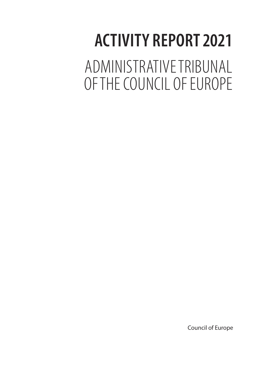# **ACTIVITY REPORT 2021**

ADMINISTRATIVE TRIBUNAL OF THE COUNCIL OF EUROPE

Council of Europe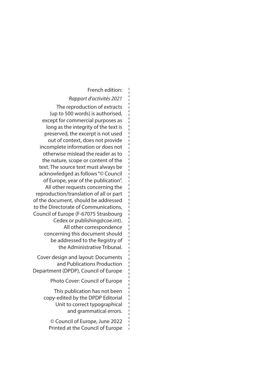#### French edition:

#### *Rapport d'activités 2021*

The reproduction of extracts (up to 500 words) is authorised, except for commercial purposes as long as the integrity of the text is preserved, the excerpt is not used out of context, does not provide incomplete information or does not otherwise mislead the reader as to the nature, scope or content of the text. The source text must always be acknowledged as follows "© Council of Europe, year of the publication". All other requests concerning the reproduction/translation of all or part of the document, should be addressed to the Directorate of Communications, Council of Europe (F-67075 Strasbourg Cedex or publishing@coe.int). All other correspondence concerning this document should be addressed to the Registry of the Administrative Tribunal.

Cover design and layout: Documents and Publications Production Department (DPDP), Council of Europe

Photo Cover: Council of Europe

This publication has not been copy-edited by the DPDP Editorial Unit to correct typographical and grammatical errors.

© Council of Europe, June 2022 Printed at the Council of Europe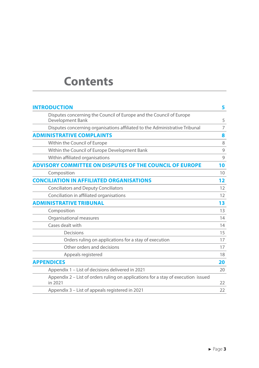### **Contents**

| <b>INTRODUCTION</b>                                                                          | 5                 |
|----------------------------------------------------------------------------------------------|-------------------|
| Disputes concerning the Council of Europe and the Council of Europe<br>Development Bank      | 5                 |
| Disputes concerning organisations affiliated to the Administrative Tribunal                  | 7                 |
| <b>ADMINISTRATIVE COMPLAINTS</b>                                                             | 8                 |
| Within the Council of Europe                                                                 | 8                 |
| Within the Council of Europe Development Bank                                                | 9                 |
| Within affiliated organisations                                                              | 9                 |
| <b>ADVISORY COMMITTEE ON DISPUTES OF THE COUNCIL OF EUROPE</b>                               | 10                |
| Composition                                                                                  | 10                |
| <b>CONCILIATION IN AFFILIATED ORGANISATIONS</b>                                              | $12 \overline{ }$ |
| <b>Conciliators and Deputy Conciliators</b>                                                  | 12                |
| Conciliation in affiliated organisations                                                     | 12                |
| <b>ADMINISTRATIVE TRIBUNAL</b>                                                               | 13                |
| Composition                                                                                  | 13                |
| Organisational measures                                                                      | 14                |
| Cases dealt with                                                                             | 14                |
| Decisions                                                                                    | 15                |
| Orders ruling on applications for a stay of execution                                        | 17                |
| Other orders and decisions                                                                   | 17                |
| Appeals registered                                                                           | 18                |
| <b>APPENDICES</b>                                                                            | 20                |
| Appendix 1 - List of decisions delivered in 2021                                             | 20                |
| Appendix 2 – List of orders ruling on applications for a stay of execution issued<br>in 2021 | 22                |
| Appendix 3 – List of appeals registered in 2021                                              | 22                |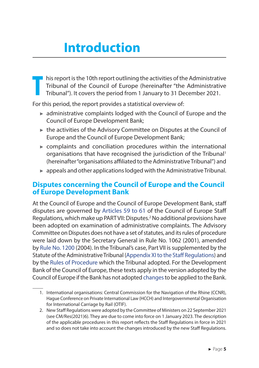## **Introduction**

<span id="page-5-0"></span>**T** his report is the 10th report outlining the activities of the Administrative Tribunal of the Council of Europe (hereinafter "the Administrative Tribunal"). It covers the period from 1 January to 31 December 2021.

For this period, the report provides a statistical overview of:

- ► administrative complaints lodged with the Council of Europe and the Council of Europe Development Bank;
- ► the activities of the Advisory Committee on Disputes at the Council of Europe and the Council of Europe Development Bank;
- ► complaints and conciliation procedures within the international organisations that have recognised the jurisdiction of the Tribunal<sup>1</sup> (hereinafter "organisations affiliated to the Administrative Tribunal") and
- $\triangleright$  appeals and other applications lodged with the Administrative Tribunal.

#### **Disputes concerning the Council of Europe and the Council of Europe Development Bank**

At the Council of Europe and the Council of Europe Development Bank, staff disputes are governed by [Articles 59 to 61](https://search.coe.int/Pages/result_details.aspx?ObjectId=0900001680781c12) of the Council of Europe Staff Regulations, which make up PART VII: Disputes.<sup>2</sup> No additional provisions have been adopted on examination of administrative complaints. The Advisory Committee on Disputes does not have a set of statutes, and its rules of procedure were laid down by the Secretary General in Rule No. 1062 (2001), amended by [Rule No. 1200](https://publicsearch.coe.int/Pages/result_details.aspx?ObjectId=0900001680781d61) (2004). In the Tribunal's case, Part VII is supplemented by the Statute of the Administrative Tribunal ([Appendix XI to the Staff Regulations](https://search.coe.int/Pages/result_details.aspx?ObjectId=090000168078189c)) and by the [Rules of Procedure](https://www.coe.int/en/web/tribunal/rules-of-procedure) which the Tribunal adopted. For the Development Bank of the Council of Europe, these texts apply in the version adopted by the Council of Europe if the Bank has not adopted [changes](https://www.coe.int/en/web/tribunal/staff-regulations-of-the-council-of-europe-development-bank) to be applied to the Bank.

<sup>1.</sup> International organisations: Central Commission for the Navigation of the Rhine (CCNR), Hague Conference on Private International Law (HCCH) and Intergovernmental Organisation for International Carriage by Rail (OTIF).

<sup>2.</sup> New Staff Regulations were adopted by the Committee of Ministers on 22 September 2021 (see CM/Res(2021)6). They are due to come into force on 1 January 2023. The description of the applicable procedures in this report reflects the Staff Regulations in force in 2021 and so does not take into account the changes introduced by the new Staff Regulations.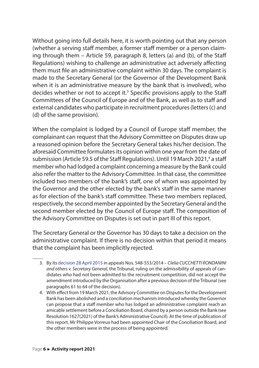Without going into full details here, it is worth pointing out that any person (whether a serving staff member, a former staff member or a person claiming through them – Article 59, paragraph 8, letters (a) and (b), of the Staff Regulations) wishing to challenge an administrative act adversely affecting them must file an administrative complaint within 30 days. The complaint is made to the Secretary General (or the Governor of the Development Bank when it is an administrative measure by the bank that is involved), who decides whether or not to accept it.<sup>3</sup> Specific provisions apply to the Staff Committees of the Council of Europe and of the Bank, as well as to staff and external candidates who participate in recruitment procedures (letters (c) and (d) of the same provision).

When the complaint is lodged by a Council of Europe staff member, the complainant can request that the Advisory Committee on Disputes draw up a reasoned opinion before the Secretary General takes his/her decision. The aforesaid Committee formulates its opinion within one year from the date of submission (Article 59.5 of the Staff Regulations). Until 19 March 2021,<sup>4</sup> a staff member who had lodged a complaint concerning a measure by the Bank could also refer the matter to the Advisory Committee. In that case, the committee included two members of the bank's staff, one of whom was appointed by the Governor and the other elected by the bank's staff in the same manner as for election of the bank's staff committee. These two members replaced, respectively, the second member appointed by the Secretary General and the second member elected by the Council of Europe staff. The composition of the Advisory Committee on Disputes is set out in part III of this report.

The Secretary General or the Governor has 30 days to take a decision on the administrative complaint. If there is no decision within that period it means that the complaint has been implicitly rejected.

<sup>3.</sup> By its [decision 28 April 2015](https://rm.coe.int/appeals-nos-548-553-2014-clelia-cucchetti-rondanini-and-others-v-secre/1680770174) in appeals Nos. 548-553/2014 – *Clelia CUCCHETTI RONDANINI and others v. Secretary General,* the Tribunal, ruling on the admissibility of appeals of candidates who had not been admitted to the recruitment competition, did not accept the amendment introduced by the Organisation after a previous decision of the Tribunal (see paragraphs 61 to 64 of the decision).

<sup>4.</sup> With effect from 19 March 2021, the Advisory Committee on Disputes for the Development Bank has been abolished and a conciliation mechanism introduced whereby the Governor can propose that a staff member who has lodged an administrative complaint reach an amicable settlement before a Conciliation Board, chaired by a person outside the Bank (see Resolution 1627(2021) of the Bank's Administrative Council). At the time of publication of this report, Mr Philippe Vorreux had been appointed Chair of the Conciliation Board, and the other members were in the process of being appointed.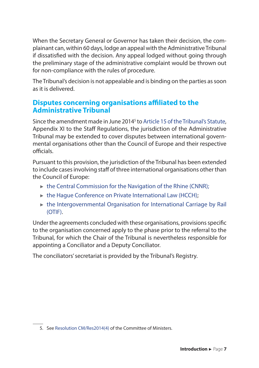<span id="page-7-0"></span>When the Secretary General or Governor has taken their decision, the complainant can, within 60 days, lodge an appeal with the Administrative Tribunal if dissatisfied with the decision. Any appeal lodged without going through the preliminary stage of the administrative complaint would be thrown out for non-compliance with the rules of procedure.

The Tribunal's decision is not appealable and is binding on the parties as soon as it is delivered.

#### **Disputes concerning organisations affiliated to the Administrative Tribunal**

Since the amendment made in June 2014<sup>5</sup> to [Article 15 of the Tribunal's Statute](https://www.coe.int/en/web/tribunal/statute), Appendix XI to the Staff Regulations, the jurisdiction of the Administrative Tribunal may be extended to cover disputes between international governmental organisations other than the Council of Europe and their respective officials.

Pursuant to this provision, the jurisdiction of the Tribunal has been extended to include cases involving staff of three international organisations other than the Council of Europe:

- ► [the Central Commission for the Navigation of the Rhine \(CNNR\)](https://www.coe.int/en/web/tribunal/ccnr);
- ► [the Hague Conference on Private International Law \(HCCH\);](https://www.coe.int/en/web/tribunal/hcch)
- ► [the Intergovernmental Organisation for International Carriage by Rail](https://www.coe.int/en/web/tribunal/otif) [\(OTIF\)](https://www.coe.int/en/web/tribunal/otif).

Under the agreements concluded with these organisations, provisions specific to the organisation concerned apply to the phase prior to the referral to the Tribunal, for which the Chair of the Tribunal is nevertheless responsible for appointing a Conciliator and a Deputy Conciliator.

The conciliators' secretariat is provided by the Tribunal's Registry.

<sup>5.</sup> See [Resolution CM/Res2014\(4\)](https://search.coe.int/cm/Pages/result_details.aspx?ObjectId=09000016805c5969) of the Committee of Ministers.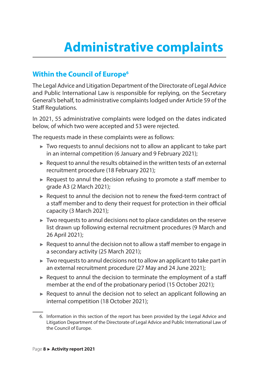## <span id="page-8-0"></span>**Administrative complaints**

#### **Within the Council of Europe<sup>6</sup>**

The Legal Advice and Litigation Department of the Directorate of Legal Advice and Public International Law is responsible for replying, on the Secretary General's behalf, to administrative complaints lodged under Article 59 of the Staff Regulations.

In 2021, 55 administrative complaints were lodged on the dates indicated below, of which two were accepted and 53 were rejected.

The requests made in these complaints were as follows:

- ► Two requests to annul decisions not to allow an applicant to take part in an internal competition (6 January and 9 February 2021);
- $\blacktriangleright$  Request to annul the results obtained in the written tests of an external recruitment procedure (18 February 2021);
- $\blacktriangleright$  Request to annul the decision refusing to promote a staff member to grade A3 (2 March 2021);
- ► Request to annul the decision not to renew the fixed-term contract of a staff member and to deny their request for protection in their official capacity (3 March 2021);
- ► Two requests to annul decisions not to place candidates on the reserve list drawn up following external recruitment procedures (9 March and 26 April 2021);
- $\blacktriangleright$  Request to annul the decision not to allow a staff member to engage in a secondary activity (25 March 2021);
- $\triangleright$  Two requests to annul decisions not to allow an applicant to take part in an external recruitment procedure (27 May and 24 June 2021);
- $\blacktriangleright$  Request to annul the decision to terminate the employment of a staff member at the end of the probationary period (15 October 2021);
- $\blacktriangleright$  Request to annul the decision not to select an applicant following an internal competition (18 October 2021);

<sup>6.</sup> Information in this section of the report has been provided by the Legal Advice and Litigation Department of the Directorate of Legal Advice and Public International Law of the Council of Europe.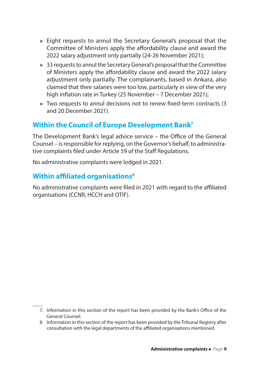- <span id="page-9-0"></span>► Eight requests to annul the Secretary General's proposal that the Committee of Ministers apply the affordability clause and award the 2022 salary adjustment only partially (24-26 November 2021);
- ► 33 requests to annul the Secretary General's proposal that the Committee of Ministers apply the affordability clause and award the 2022 salary adjustment only partially. The complainants, based in Ankara, also claimed that their salaries were too low, particularly in view of the very high inflation rate in Turkey (25 November – 7 December 2021);
- $\blacktriangleright$  Two requests to annul decisions not to renew fixed-term contracts (3) and 20 December 2021).

#### **Within the Council of Europe Development Bank<sup>7</sup>**

The Development Bank's legal advice service – the Office of the General Counsel – is responsible for replying, on the Governor's behalf, to administrative complaints filed under Article 59 of the Staff Regulations.

No administrative complaints were lodged in 2021.

#### **Within affiliated organisations<sup>8</sup>**

No administrative complaints were filed in 2021 with regard to the affiliated organisations (CCNR, HCCH and OTIF).

<sup>7.</sup> Information in this section of the report has been provided by the Bank's Office of the General Counsel.

<sup>8.</sup> Information in this section of the report has been provided by the Tribunal Registry after consultation with the legal departments of the affiliated organisations mentioned.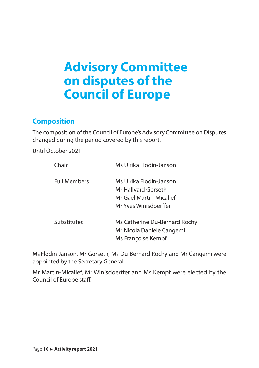## <span id="page-10-0"></span>**Advisory Committee on disputes of the Council of Europe**

#### **Composition**

The composition of the Council of Europe's Advisory Committee on Disputes changed during the period covered by this report.

Until October 2021:

| Chair               | Ms Ulrika Flodin-Janson                                                                            |
|---------------------|----------------------------------------------------------------------------------------------------|
| <b>Full Members</b> | Ms Ulrika Flodin-Janson<br>Mr Hallvard Gorseth<br>Mr Gaël Martin-Micallef<br>Mr Yves Winisdoerffer |
| Substitutes         | Ms Catherine Du-Bernard Rochy<br>Mr Nicola Daniele Cangemi<br>Ms Françoise Kempf                   |

Ms Flodin-Janson, Mr Gorseth, Ms Du-Bernard Rochy and Mr Cangemi were appointed by the Secretary General.

Mr Martin-Micallef, Mr Winisdoerffer and Ms Kempf were elected by the Council of Europe staff.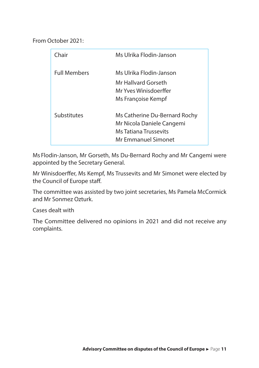From October 2021:

| Chair               | Ms Ulrika Flodin-Janson       |
|---------------------|-------------------------------|
| <b>Full Members</b> | Ms Ulrika Flodin-Janson       |
|                     | Mr Hallvard Gorseth           |
|                     | Mr Yves Winisdoerffer         |
|                     | Ms Françoise Kempf            |
| Substitutes         | Ms Catherine Du-Bernard Rochy |
|                     | Mr Nicola Daniele Cangemi     |
|                     | Ms Tatiana Trussevits         |
|                     | Mr Emmanuel Simonet           |

Ms Flodin-Janson, Mr Gorseth, Ms Du-Bernard Rochy and Mr Cangemi were appointed by the Secretary General.

Mr Winisdoerffer, Ms Kempf, Ms Trussevits and Mr Simonet were elected by the Council of Europe staff.

The committee was assisted by two joint secretaries, Ms Pamela McCormick and Mr Sonmez Ozturk.

Cases dealt with

The Committee delivered no opinions in 2021 and did not receive any complaints.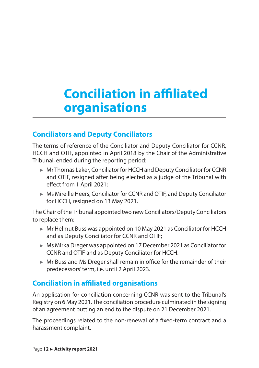## <span id="page-12-0"></span>**Conciliation in affiliated organisations**

#### **Conciliators and Deputy Conciliators**

The terms of reference of the Conciliator and Deputy Conciliator for CCNR, HCCH and OTIF, appointed in April 2018 by the Chair of the Administrative Tribunal, ended during the reporting period:

- ► Mr Thomas Laker, Conciliator for HCCH and Deputy Conciliator for CCNR and OTIF, resigned after being elected as a judge of the Tribunal with effect from 1 April 2021;
- ► Ms Mireille Heers, Conciliator for CCNR and OTIF, and Deputy Conciliator for HCCH, resigned on 13 May 2021.

The Chair of the Tribunal appointed two new Conciliators/Deputy Conciliators to replace them:

- ► Mr Helmut Buss was appointed on 10 May 2021 as Conciliator for HCCH and as Deputy Conciliator for CCNR and OTIF;
- ► Ms Mirka Dreger was appointed on 17 December 2021 as Conciliator for CCNR and OTIF and as Deputy Conciliator for HCCH.
- ► Mr Buss and Ms Dreger shall remain in office for the remainder of their predecessors' term, i.e. until 2 April 2023.

#### **Conciliation in affiliated organisations**

An application for conciliation concerning CCNR was sent to the Tribunal's Registry on 6 May 2021. The conciliation procedure culminated in the signing of an agreement putting an end to the dispute on 21 December 2021.

The proceedings related to the non-renewal of a fixed-term contract and a harassment complaint.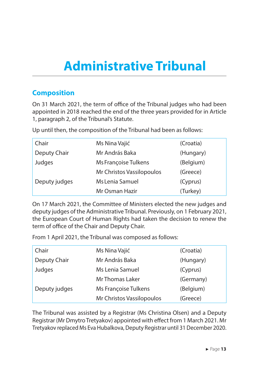## <span id="page-13-0"></span>**Administrative Tribunal**

#### **Composition**

On 31 March 2021, the term of office of the Tribunal judges who had been appointed in 2018 reached the end of the three years provided for in Article 1, paragraph 2, of the Tribunal's Statute.

Up until then, the composition of the Tribunal had been as follows:

| Chair         | Ms Nina Vajić             | (Croatia) |
|---------------|---------------------------|-----------|
| Deputy Chair  | Mr András Baka            | (Hungary) |
| Judges        | Ms Françoise Tulkens      | (Belgium) |
|               | Mr Christos Vassilopoulos | (Greece)  |
| Deputy judges | Ms Lenia Samuel           | (Cyprus)  |
|               | Mr Osman Hazir            | (Turkey)  |

On 17 March 2021, the Committee of Ministers elected the new judges and deputy judges of the Administrative Tribunal. Previously, on 1 February 2021, the European Court of Human Rights had taken the decision to renew the term of office of the Chair and Deputy Chair.

From 1 April 2021, the Tribunal was composed as follows:

| Chair         | Ms Nina Vajić             | (Croatia) |
|---------------|---------------------------|-----------|
| Deputy Chair  | Mr András Baka            | (Hungary) |
| Judges        | Ms Lenia Samuel           | (Cyprus)  |
|               | Mr Thomas Laker           | (Germany) |
| Deputy judges | Ms Françoise Tulkens      | (Belgium) |
|               | Mr Christos Vassilopoulos | (Greece)  |

The Tribunal was assisted by a Registrar (Ms Christina Olsen) and a Deputy Registrar (Mr Dmytro Tretyakov) appointed with effect from 1 March 2021. Mr Tretyakov replaced Ms Eva Hubalkova, Deputy Registrar until 31 December 2020.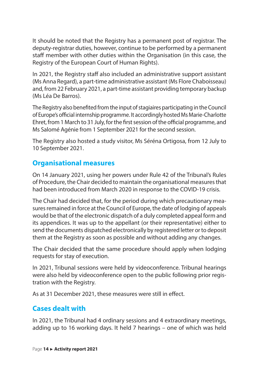<span id="page-14-0"></span>It should be noted that the Registry has a permanent post of registrar. The deputy-registrar duties, however, continue to be performed by a permanent staff member with other duties within the Organisation (in this case, the Registry of the European Court of Human Rights).

In 2021, the Registry staff also included an administrative support assistant (Ms Anna Regard), a part-time administrative assistant (Ms Flore Chaboisseau) and, from 22 February 2021, a part-time assistant providing temporary backup (Ms Léa De Barros).

The Registry also benefited from the input of stagiaires participating in the Council of Europe's official internship programme. It accordingly hosted Ms Marie-Charlotte Ehret, from 1 March to 31 July, for the first session of the official programme, and Ms Salomé Agénie from 1 September 2021 for the second session.

The Registry also hosted a study visitor, Ms Séréna Ortigosa, from 12 July to 10 September 2021.

#### **Organisational measures**

On 14 January 2021, using her powers under Rule 42 of the Tribunal's Rules of Procedure, the Chair decided to maintain the organisational measures that had been introduced from March 2020 in response to the COVID-19 crisis.

The Chair had decided that, for the period during which precautionary measures remained in force at the Council of Europe, the date of lodging of appeals would be that of the electronic dispatch of a duly completed appeal form and its appendices. It was up to the appellant (or their representative) either to send the documents dispatched electronically by registered letter or to deposit them at the Registry as soon as possible and without adding any changes.

The Chair decided that the same procedure should apply when lodging requests for stay of execution.

In 2021, Tribunal sessions were held by videoconference. Tribunal hearings were also held by videoconference open to the public following prior registration with the Registry.

As at 31 December 2021, these measures were still in effect.

#### **Cases dealt with**

In 2021, the Tribunal had 4 ordinary sessions and 4 extraordinary meetings, adding up to 16 working days. It held 7 hearings – one of which was held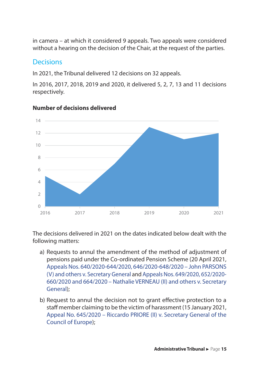<span id="page-15-0"></span>in camera – at which it considered 9 appeals. Two appeals were considered without a hearing on the decision of the Chair, at the request of the parties.

#### **Decisions**

In 2021, the Tribunal delivered 12 decisions on 32 appeals.

In 2016, 2017, 2018, 2019 and 2020, it delivered 5, 2, 7, 13 and 11 decisions respectively.



#### **Number of decisions delivered**

The decisions delivered in 2021 on the dates indicated below dealt with the following matters:

- a) Requests to annul the amendment of the method of adjustment of pensions paid under the Co-ordinated Pension Scheme (20 April 2021, [Appeals Nos. 640/2020-644/2020, 646/2020-648/2020 – John PARSONS](https://rm.coe.int/appeals-nos-640-644-2020-646-648-2020-john-parsons-v-and-others-and-ap/1680a29fef) [\(V\) and others v. Secretary General](https://rm.coe.int/appeals-nos-640-644-2020-646-648-2020-john-parsons-v-and-others-and-ap/1680a29fef) and [Appeals Nos. 649/2020, 652/2020-](https://rm.coe.int/appeals-nos-640-644-2020-646-648-2020-john-parsons-v-and-others-and-ap/1680a29fef) [660/2020 and 664/2020 – Nathalie VERNEAU \(II\) and others v. Secretary](https://rm.coe.int/appeals-nos-640-644-2020-646-648-2020-john-parsons-v-and-others-and-ap/1680a29fef) [General](https://rm.coe.int/appeals-nos-640-644-2020-646-648-2020-john-parsons-v-and-others-and-ap/1680a29fef));
- b) Request to annul the decision not to grant effective protection to a staff member claiming to be the victim of harassment (15 January 2021, [Appeal No. 645/2020 – Riccardo PRIORE \(II\) v. Secretary General of the](https://rm.coe.int/appeal-no-645-2020-riccardo-priore-ii-v-secretary-general-of-the-counc/1680a259df) [Council of Europe](https://rm.coe.int/appeal-no-645-2020-riccardo-priore-ii-v-secretary-general-of-the-counc/1680a259df));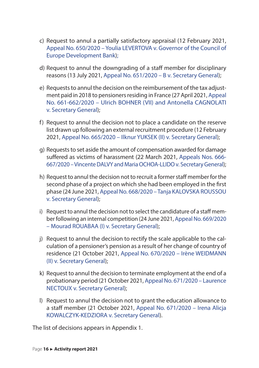- c) Request to annul a partially satisfactory appraisal (12 February 2021, [Appeal No. 650/2020 – Youlia LEVERTOVA v. Governor of the Council of](https://rm.coe.int/appeal-no-650-2020-youlia-levertova-v-governor-of-the-council-of-europ/1680a1e072)  [Europe Development Bank\)](https://rm.coe.int/appeal-no-650-2020-youlia-levertova-v-governor-of-the-council-of-europ/1680a1e072);
- d) Request to annul the downgrading of a staff member for disciplinary reasons (13 July 2021, [Appeal No. 651/2020 – B v. Secretary General\)](https://rm.coe.int/appeal-n-651-2020-b-v-secretary-general-annulment-of-a-disciplinary-me/1680a335cb);
- e) Requests to annul the decision on the reimbursement of the tax adjustment paid in 2018 to pensioners residing in France (27 April 2021, [Appeal](https://rm.coe.int/appeals-nos-661-2020-and-662-2020-ulrich-bohner-vii-and-antonella-cagn/1680a2ffa8)  [No. 661-662/2020 – Ulrich BOHNER \(VII\) and Antonella CAGNOLATI](https://rm.coe.int/appeals-nos-661-2020-and-662-2020-ulrich-bohner-vii-and-antonella-cagn/1680a2ffa8)  [v. Secretary General\)](https://rm.coe.int/appeals-nos-661-2020-and-662-2020-ulrich-bohner-vii-and-antonella-cagn/1680a2ffa8);
- f) Request to annul the decision not to place a candidate on the reserve list drawn up following an external recruitment procedure (12 February 2021, [Appeal No. 665/2020 – Ilknur YUKSEK \(II\) v. Secretary General\)](https://rm.coe.int/appeal-no-665-2020-ilknur-yuksek-ii-v-secretary-general-of-the-council/1680a17018);
- g) Requests to set aside the amount of compensation awarded for damage suffered as victims of harassment (22 March 2021, [Appeals Nos. 666-](https://rm.coe.int/appeals-nos-666-and-667-2020-vincente-dalvy-and-maria-ochoa-llido-v-se/1680a3436f) [667/2020 – Vincente DALVY and Maria OCHOA-LLIDO v. Secretary General](https://rm.coe.int/appeals-nos-666-and-667-2020-vincente-dalvy-and-maria-ochoa-llido-v-se/1680a3436f));
- h) Request to annul the decision not to recruit a former staff member for the second phase of a project on which she had been employed in the first phase (24 June 2021, [Appeal No. 668/2020 – Tanja KALOVSKA ROUSSOU](https://rm.coe.int/appeal-no-668-2020-tanja-kalovska-roussou-v-secretary-general-discrimi/1680a2f223)  [v. Secretary General\)](https://rm.coe.int/appeal-no-668-2020-tanja-kalovska-roussou-v-secretary-general-discrimi/1680a2f223);
- i) Request to annul the decision not to select the candidature of a staff member following an internal competition (24 June 2021, [Appeal No. 669/2020](https://rm.coe.int/appeal-no-669-2020-mourad-rouabaa-v-secretary-general-of-the-council-o/1680a34374)  [– Mourad ROUABAA \(I\) v. Secretary General](https://rm.coe.int/appeal-no-669-2020-mourad-rouabaa-v-secretary-general-of-the-council-o/1680a34374));
- j) Request to annul the decision to rectify the scale applicable to the calculation of a pensioner's pension as a result of her change of country of residence (21 October 2021, [Appeal No. 670/2020 – Irène WEIDMANN](https://rm.coe.int/appeal-no-670-2020-irene-weidmann-ii-v-secretary-general-/1680a4abdd)  [\(II\) v. Secretary General](https://rm.coe.int/appeal-no-670-2020-irene-weidmann-ii-v-secretary-general-/1680a4abdd));
- k) Request to annul the decision to terminate employment at the end of a probationary period (21 October 2021, [Appeal No. 671/2020 – Laurence](https://rm.coe.int/appeal-no-671-2020-laurence-nectoux-v-secretary-general-of-the-council/1680a56156)  [NECTOUX v. Secretary General](https://rm.coe.int/appeal-no-671-2020-laurence-nectoux-v-secretary-general-of-the-council/1680a56156));
- l) Request to annul the decision not to grant the education allowance to a staff member (21 October 2021, [Appeal No. 671/2020 – Irena Alicja](https://rm.coe.int/appeal-no-672-2020-irena-alicja-kowalczyk-kedziora-v-secretary-general/1680a4a956)  [KOWALCZYK-KEDZIORA v. Secretary General\)](https://rm.coe.int/appeal-no-672-2020-irena-alicja-kowalczyk-kedziora-v-secretary-general/1680a4a956).

The list of decisions appears in Appendix 1.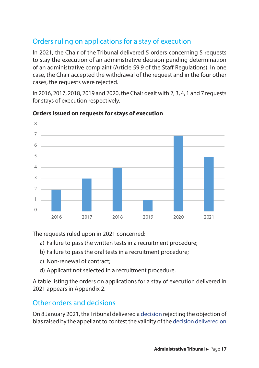#### <span id="page-17-0"></span>Orders ruling on applications for a stay of execution

In 2021, the Chair of the Tribunal delivered 5 orders concerning 5 requests to stay the execution of an administrative decision pending determination of an administrative complaint (Article 59.9 of the Staff Regulations). In one case, the Chair accepted the withdrawal of the request and in the four other cases, the requests were rejected.

In 2016, 2017, 2018, 2019 and 2020, the Chair dealt with 2, 3, 4, 1 and 7 requests for stays of execution respectively.



#### **Orders issued on requests for stays of execution**

The requests ruled upon in 2021 concerned:

- a) Failure to pass the written tests in a recruitment procedure;
- b) Failure to pass the oral tests in a recruitment procedure;
- c) Non-renewal of contract;
- d) Applicant not selected in a recruitment procedure.

A table listing the orders on applications for a stay of execution delivered in 2021 appears in Appendix 2.

#### Other orders and decisions

On 8 January 2021, the Tribunal delivered a [decision](https://rm.coe.int/decision-of-the-administrative-tribunal-of-8-january-2021-appeal-no-62/1680a5f4f3) rejecting the objection of bias raised by the appellant to contest the validity of the [decision delivered on](https://rm.coe.int/appeal-no-625-2019-james-brannan-iv-v-secretary-general-/1680a26027)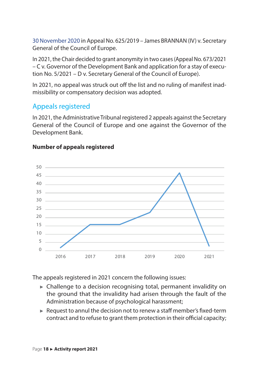<span id="page-18-0"></span>[30 November 2020](https://rm.coe.int/appeal-no-625-2019-james-brannan-iv-v-secretary-general-/1680a26027) in Appeal No. 625/2019 – James BRANNAN (IV) v. Secretary General of the Council of Europe.

In 2021, the Chair decided to grant anonymity in two cases (Appeal No. 673/2021 – C v. Governor of the Development Bank and application for a stay of execution No. 5/2021 – D v. Secretary General of the Council of Europe).

In 2021, no appeal was struck out off the list and no ruling of manifest inadmissibility or compensatory decision was adopted.

#### Appeals registered

In 2021, the Administrative Tribunal registered 2 appeals against the Secretary General of the Council of Europe and one against the Governor of the Development Bank.



#### **Number of appeals registered**

The appeals registered in 2021 concern the following issues:

- ► Challenge to a decision recognising total, permanent invalidity on the ground that the invalidity had arisen through the fault of the Administration because of psychological harassment;
- ► Request to annul the decision not to renew a staff member's fixed-term contract and to refuse to grant them protection in their official capacity;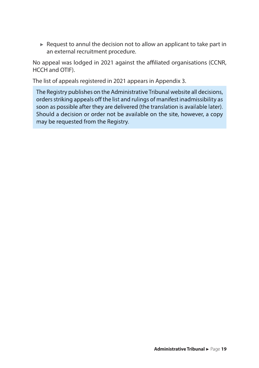$\blacktriangleright$  Request to annul the decision not to allow an applicant to take part in an external recruitment procedure.

No appeal was lodged in 2021 against the affiliated organisations (CCNR, HCCH and OTIF).

The list of appeals registered in 2021 appears in Appendix 3.

The Registry publishes on the Administrative Tribunal website all decisions, ordersstriking appeals off the list and rulings of manifest inadmissibility as soon as possible after they are delivered (the translation is available later). Should a decision or order not be available on the site, however, a copy may be requested from the Registry.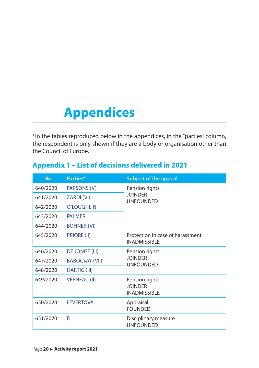## <span id="page-20-0"></span>**Appendices**

\*In the tables reproduced below in the appendices, in the "parties" column, the respondent is only shown if they are a body or organisation other than the Council of Europe.

#### **Appendix 1 – List of decisions delivered in 2021**

| No.      | Parties*              | <b>Subject of the appeal</b>                            |
|----------|-----------------------|---------------------------------------------------------|
| 640/2020 | PARSONS (V)           | Pension rights                                          |
| 641/2020 | ZARDI (VI)            | <b>JOINDER</b><br><b>UNFOUNDED</b>                      |
| 642/2020 | <b>O'LOUGHLIN</b>     |                                                         |
| 643/2020 | <b>PALMER</b>         |                                                         |
| 644/2020 | <b>BOHNER (VI)</b>    |                                                         |
| 645/2020 | PRIORE (II)           | Protection in case of harassment<br><b>INADMISSIBLE</b> |
| 646/2020 | <b>DE JONGE (III)</b> | Pension rights                                          |
| 647/2020 | <b>BABOCSAY (VII)</b> | <b>JOINDER</b><br><b>UNFOUNDED</b>                      |
| 648/2020 | <b>HARTIG (III)</b>   |                                                         |
| 649/2020 | <b>VERNEAU (II)</b>   | Pension rights<br><b>JOINDER</b><br><b>INADMISSIBLE</b> |
| 650/2020 | <b>LEVERTOVA</b>      | Appraisal<br><b>FOUNDED</b>                             |
| 651/2020 | B                     | Disciplinary measure<br><b>UNFOUNDED</b>                |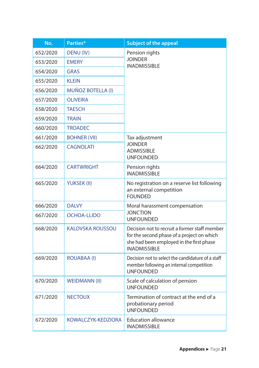| No.      | Parties*                 | <b>Subject of the appeal</b>                                                                                                                                   |  |
|----------|--------------------------|----------------------------------------------------------------------------------------------------------------------------------------------------------------|--|
| 652/2020 | DENU (IV)                | Pension rights<br><b>JOINDER</b><br><b>INADMISSIBLE</b>                                                                                                        |  |
| 653/2020 | <b>EMERY</b>             |                                                                                                                                                                |  |
| 654/2020 | <b>GRAS</b>              |                                                                                                                                                                |  |
| 655/2020 | <b>KLEIN</b>             |                                                                                                                                                                |  |
| 656/2020 | <b>MUÑOZ BOTELLA (I)</b> |                                                                                                                                                                |  |
| 657/2020 | <b>OLIVEIRA</b>          |                                                                                                                                                                |  |
| 658/2020 | <b>TAESCH</b>            |                                                                                                                                                                |  |
| 659/2020 | <b>TRAIN</b>             |                                                                                                                                                                |  |
| 660/2020 | <b>TROADEC</b>           |                                                                                                                                                                |  |
| 661/2020 | <b>BOHNER (VII)</b>      | Tax adjustment                                                                                                                                                 |  |
| 662/2020 | <b>CAGNOLATI</b>         | <b>JOINDER</b><br><b>ADMISSIBLE</b><br><b>UNFOUNDED</b>                                                                                                        |  |
| 664/2020 | <b>CARTWRIGHT</b>        | Pension rights<br><b>INADMISSIBI F</b>                                                                                                                         |  |
| 665/2020 | <b>YUKSEK (II)</b>       | No registration on a reserve list following<br>an external competition<br><b>FOUNDED</b>                                                                       |  |
| 666/2020 | <b>DALVY</b>             | Moral harassment compensation                                                                                                                                  |  |
| 667/2020 | <b>OCHOA-LLIDO</b>       | <b>JONCTION</b><br><b>UNFOUNDED</b>                                                                                                                            |  |
| 668/2020 | <b>KALOVSKA ROUSSOU</b>  | Decision not to recruit a former staff member<br>for the second phase of a project on which<br>she had been employed in the first phase<br><b>INADMISSIBLE</b> |  |
| 669/2020 | ROUABAA (I)              | Decision not to select the candidature of a staff<br>member following an internal competition<br><b>UNFOUNDED</b>                                              |  |
| 670/2020 | <b>WEIDMANN (II)</b>     | Scale of calculation of pension<br><b>UNFOUNDED</b>                                                                                                            |  |
| 671/2020 | <b>NECTOUX</b>           | Termination of contract at the end of a<br>probationary period<br><b>UNFOUNDED</b>                                                                             |  |
| 672/2020 | KOWALCZYK-KEDZIORA       | <b>Education allowance</b><br><b>INADMISSIBLE</b>                                                                                                              |  |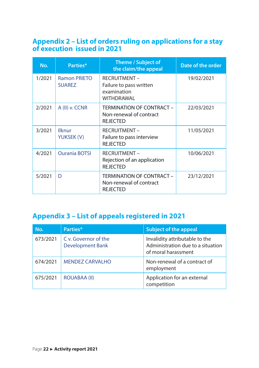#### <span id="page-22-0"></span>**Appendix 2 – List of orders ruling on applications for a stay of execution issued in 2021**

| No.    | Parties*                             | Theme / Subject of<br>the claim/the appeal                                   | Date of the order |
|--------|--------------------------------------|------------------------------------------------------------------------------|-------------------|
| 1/2021 | <b>Ramon PRIETO</b><br><b>SUAREZ</b> | <b>RECRUITMENT -</b><br>Failure to pass written<br>examination<br>WITHDRAWAL | 19/02/2021        |
| 2/2021 | A (II) v. CCNR                       | TERMINATION OF CONTRACT -<br>Non-renewal of contract<br><b>REJECTED</b>      | 22/03/2021        |
| 3/2021 | Ilknur<br>YUKSEK (V)                 | <b>RECRUITMENT -</b><br>Failure to pass interview<br><b>REJECTED</b>         | 11/05/2021        |
| 4/2021 | <b>Ourania BOTSI</b>                 | <b>RECRUITMENT -</b><br>Rejection of an application<br><b>REJECTED</b>       | 10/06/2021        |
| 5/2021 | D                                    | TERMINATION OF CONTRACT -<br>Non-renewal of contract<br><b>REJECTED</b>      | 23/12/2021        |

#### **Appendix 3 – List of appeals registered in 2021**

| No.      | Parties*                                        | Subject of the appeal                                                                      |
|----------|-------------------------------------------------|--------------------------------------------------------------------------------------------|
| 673/2021 | C v. Governor of the<br><b>Development Bank</b> | Invalidity attributable to the<br>Administration due to a situation<br>of moral harassment |
| 674/2021 | <b>MENDEZ CARVALHO</b>                          | Non-renewal of a contract of<br>employment                                                 |
| 675/2021 | <b>ROUABAA (II)</b>                             | Application for an external<br>competition                                                 |